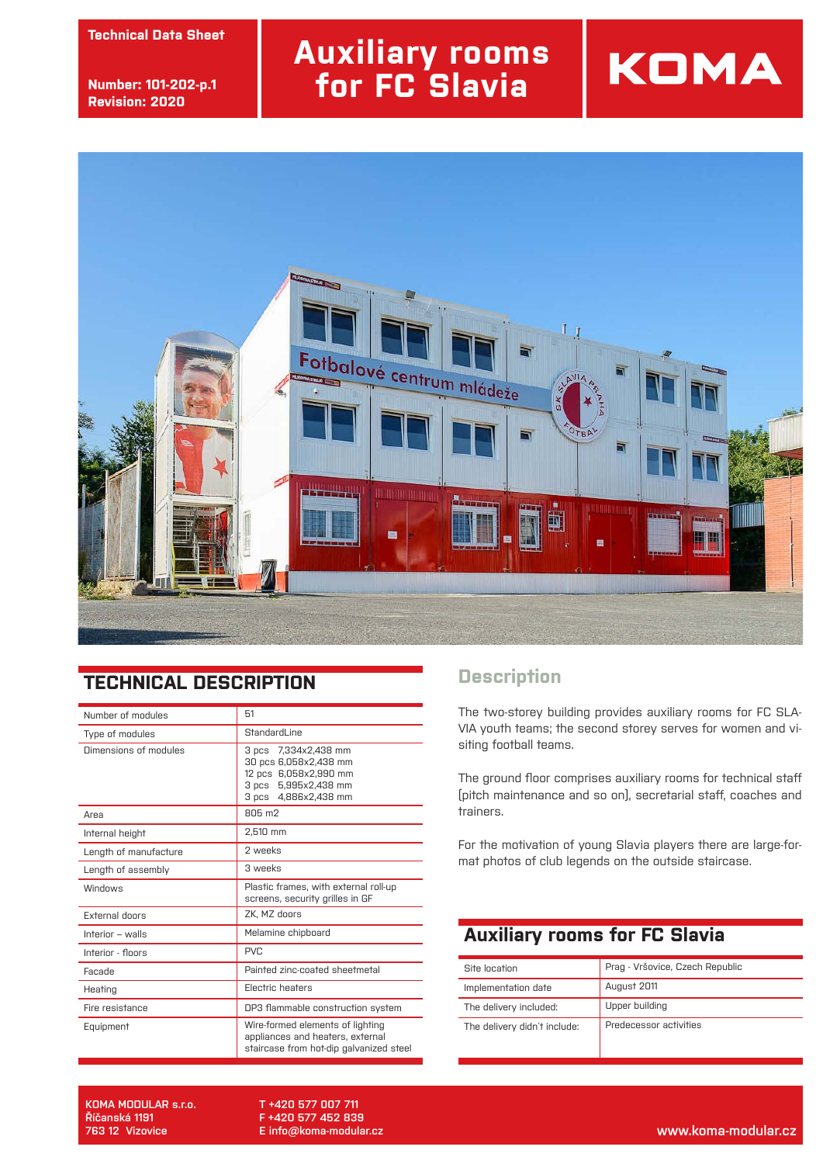**technický list Technical Data Sheet**

**číslo: 101-002-str.2 Number: 101-202-p.1 revize: 30.9.2013 Revision: 2020**

# **Auxiliary rooms for FC Slavia**



#### **TECHNICAL DESCRIPTION**

| Number of modules     | 51                                                                                                                        |  |
|-----------------------|---------------------------------------------------------------------------------------------------------------------------|--|
| Type of modules       | StandardLine                                                                                                              |  |
| Dimensions of modules | 7.334x2.438 mm<br>3 pcs<br>30 pcs 6,058x2,438 mm<br>12 pcs 6.058x2.990 mm<br>3 pcs 5.995x2.438 mm<br>3 pcs 4,886x2,438 mm |  |
| Area                  | 805 m2                                                                                                                    |  |
| Internal height       | 2,510 mm                                                                                                                  |  |
| Length of manufacture | 2 weeks                                                                                                                   |  |
| Length of assembly    | 3 weeks                                                                                                                   |  |
| Windows               | Plastic frames, with external roll-up<br>screens, security grilles in GF                                                  |  |
| <b>External doors</b> | ZK. MZ doors                                                                                                              |  |
| Interior $-$ walls    | Melamine chipboard                                                                                                        |  |
| Interior - floors     | PVC.                                                                                                                      |  |
| Facade                | Painted zinc-coated sheetmetal                                                                                            |  |
| Heating               | Electric heaters                                                                                                          |  |
| Fire resistance       | DP3 flammable construction system                                                                                         |  |
| Equipment             | Wire-formed elements of lighting<br>appliances and heaters, external<br>staircase from hot-dip galvanized steel           |  |

### **Description**

The two-storey building provides auxiliary rooms for FC SLA-VIA youth teams; the second storey serves for women and visiting football teams.

**KOMA** 

The ground floor comprises auxiliary rooms for technical staff (pitch maintenance and so on), secretarial staff, coaches and trainers.

For the motivation of young Slavia players there are large-format photos of club legends on the outside staircase.

### **Auxiliary rooms for FC Slavia**

| Site Incation                | Prag - Vršovice, Czech Republic |
|------------------------------|---------------------------------|
| Implementation date          | August 2011                     |
| The delivery included:       | Upper building                  |
| The delivery didn't include: | Predecessor activities          |

**KOMA MODULAR s.r.o. Říčanská 1191**

**T +420 577 007 711 F +420 577 452 839 E info@koma-modular.cz**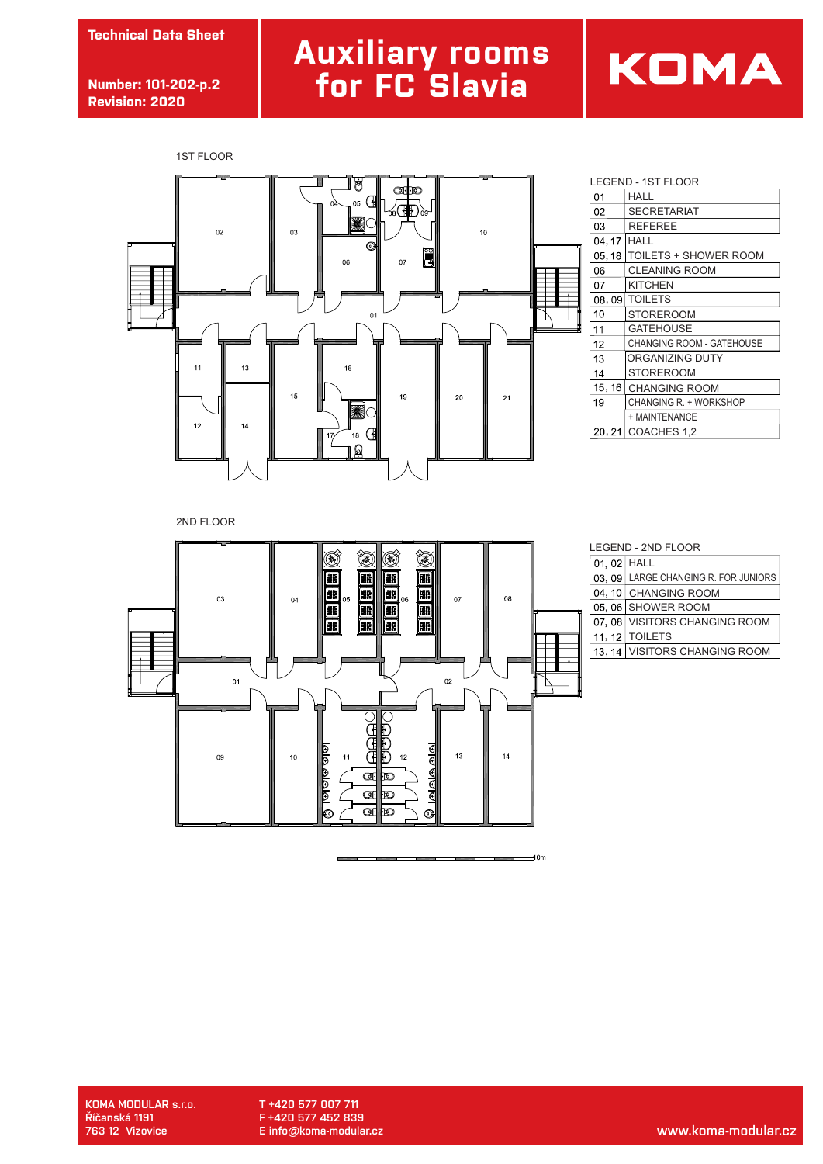**Technical Data Sheet**

**Number: 101-202-p.2 Revision: 2020**

# **Auxiliary rooms for FC Slavia**





|    |        | LEGEND - 1ST FLOOR               |  |
|----|--------|----------------------------------|--|
|    | 01     | HALL                             |  |
|    | 02     | <b>SECRETARIAT</b>               |  |
|    | 03     | <b>REFEREE</b>                   |  |
|    | 04, 17 | HALL                             |  |
|    | 05, 18 | <b>TOILETS + SHOWER ROOM</b>     |  |
|    | 06     | <b>CLEANING ROOM</b>             |  |
|    | 07     | <b>KITCHEN</b>                   |  |
|    | 08,09  | <b>TOILETS</b>                   |  |
|    | 10     | <b>STOREROOM</b>                 |  |
| ij | 11     | <b>GATEHOUSE</b>                 |  |
|    | 12     | <b>CHANGING ROOM - GATEHOUSE</b> |  |
|    | 13     | ORGANIZING DUTY                  |  |
|    | 14     | STOREROOM                        |  |
|    | 15, 16 | <b>CHANGING ROOM</b>             |  |
|    | 19     | CHANGING R. + WORKSHOP           |  |
|    |        | + MAINTENANCE                    |  |
|    |        | 20, 21 COACHES 1,2               |  |

2ND FLOOR



| <b>LEGEND - 2ND FLOOR</b> |
|---------------------------|
|---------------------------|

 $10m$ 

| 01, 02 HALL |                                      |
|-------------|--------------------------------------|
|             | 03, 09 LARGE CHANGING R. FOR JUNIORS |
|             | 04, 10 CHANGING ROOM                 |
|             | 05, 06 SHOWER ROOM                   |
|             | 07, 08 VISITORS CHANGING ROOM        |
|             | 11, 12   TOILETS                     |
|             | 13, 14 VISITORS CHANGING ROOM        |

**KOMA MODULAR s.r.o. Říčanská 1191**

**T +420 577 007 711 F +420 577 452 839 E info@koma-modular.cz**

**763 12 Vizovice www.koma-modular.cz**